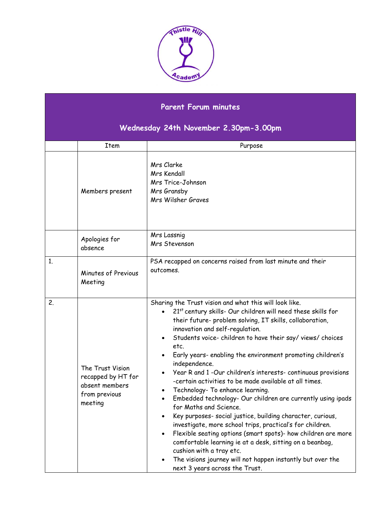

## **Parent Forum minutes**

## **Wednesday 24th November 2.30pm-3.00pm**

|    | Item                                                                                 | Purpose                                                                                                                                                                                                                                                                                                                                                                                                                                                                                                                                                                                                                                                                                                                                                                                                                                                                                                                                                                                                                                                       |
|----|--------------------------------------------------------------------------------------|---------------------------------------------------------------------------------------------------------------------------------------------------------------------------------------------------------------------------------------------------------------------------------------------------------------------------------------------------------------------------------------------------------------------------------------------------------------------------------------------------------------------------------------------------------------------------------------------------------------------------------------------------------------------------------------------------------------------------------------------------------------------------------------------------------------------------------------------------------------------------------------------------------------------------------------------------------------------------------------------------------------------------------------------------------------|
|    | Members present                                                                      | Mrs Clarke<br>Mrs Kendall<br>Mrs Trice-Johnson<br>Mrs Gransby<br>Mrs Wilsher Graves                                                                                                                                                                                                                                                                                                                                                                                                                                                                                                                                                                                                                                                                                                                                                                                                                                                                                                                                                                           |
|    | Apologies for<br>absence                                                             | Mrs Lassnig<br>Mrs Stevenson                                                                                                                                                                                                                                                                                                                                                                                                                                                                                                                                                                                                                                                                                                                                                                                                                                                                                                                                                                                                                                  |
| 1. | Minutes of Previous<br>Meeting                                                       | PSA recapped on concerns raised from last minute and their<br>outcomes.                                                                                                                                                                                                                                                                                                                                                                                                                                                                                                                                                                                                                                                                                                                                                                                                                                                                                                                                                                                       |
| 2. | The Trust Vision<br>recapped by HT for<br>absent members<br>from previous<br>meeting | Sharing the Trust vision and what this will look like.<br>21st century skills- Our children will need these skills for<br>their future- problem solving, IT skills, collaboration,<br>innovation and self-regulation.<br>Students voice-children to have their say/views/choices<br>etc.<br>Early years- enabling the environment promoting children's<br>٠<br>independence.<br>Year R and 1-Our children's interests-continuous provisions<br>-certain activities to be made available at all times.<br>Technology- To enhance learning.<br>Embedded technology- Our children are currently using ipads<br>$\bullet$<br>for Maths and Science.<br>Key purposes- social justice, building character, curious,<br>investigate, more school trips, practical's for children.<br>Flexible seating options (smart spots)- how children are more<br>$\bullet$<br>comfortable learning ie at a desk, sitting on a beanbag,<br>cushion with a tray etc.<br>The visions journey will not happen instantly but over the<br>$\bullet$<br>next 3 years across the Trust. |